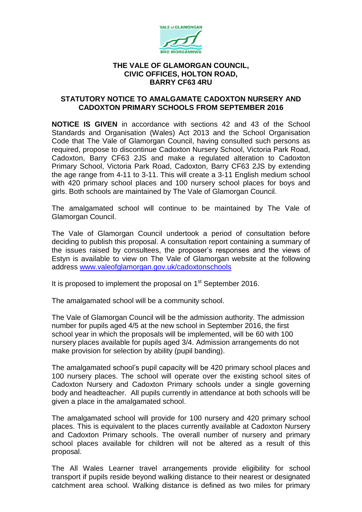

## **THE VALE OF GLAMORGAN COUNCIL, CIVIC OFFICES, HOLTON ROAD, BARRY CF63 4RU**

## **STATUTORY NOTICE TO AMALGAMATE CADOXTON NURSERY AND CADOXTON PRIMARY SCHOOLS FROM SEPTEMBER 2016**

**NOTICE IS GIVEN** in accordance with sections 42 and 43 of the School Standards and Organisation (Wales) Act 2013 and the School Organisation Code that The Vale of Glamorgan Council, having consulted such persons as required, propose to discontinue Cadoxton Nursery School, Victoria Park Road, Cadoxton, Barry CF63 2JS and make a regulated alteration to Cadoxton Primary School, Victoria Park Road, Cadoxton, Barry CF63 2JS by extending the age range from 4-11 to 3-11. This will create a 3-11 English medium school with 420 primary school places and 100 nursery school places for boys and girls. Both schools are maintained by The Vale of Glamorgan Council.

The amalgamated school will continue to be maintained by The Vale of Glamorgan Council.

The Vale of Glamorgan Council undertook a period of consultation before deciding to publish this proposal. A consultation report containing a summary of the issues raised by consultees, the proposer's responses and the views of Estyn is available to view on The Vale of Glamorgan website at the following address [www.valeofglamorgan.gov.uk/cadoxtonschools](http://www.valeofglamorgan.gov.uk/cadoxtonschools)

It is proposed to implement the proposal on  $1<sup>st</sup>$  September 2016.

The amalgamated school will be a community school.

The Vale of Glamorgan Council will be the admission authority. The admission number for pupils aged 4/5 at the new school in September 2016, the first school year in which the proposals will be implemented, will be 60 with 100 nursery places available for pupils aged 3/4. Admission arrangements do not make provision for selection by ability (pupil banding).

The amalgamated school's pupil capacity will be 420 primary school places and 100 nursery places. The school will operate over the existing school sites of Cadoxton Nursery and Cadoxton Primary schools under a single governing body and headteacher. All pupils currently in attendance at both schools will be given a place in the amalgamated school.

The amalgamated school will provide for 100 nursery and 420 primary school places. This is equivalent to the places currently available at Cadoxton Nursery and Cadoxton Primary schools. The overall number of nursery and primary school places available for children will not be altered as a result of this proposal.

The All Wales Learner travel arrangements provide eligibility for school transport if pupils reside beyond walking distance to their nearest or designated catchment area school. Walking distance is defined as two miles for primary